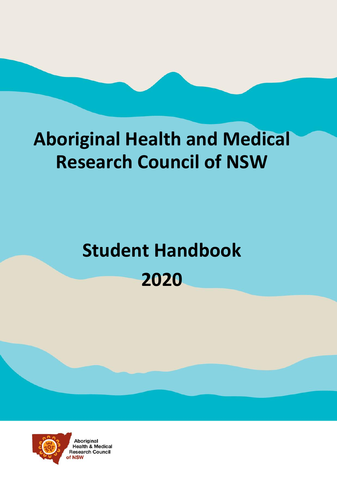# **Aboriginal Health and Medical Research Council of NSW**

# **Student Handbook 2020**

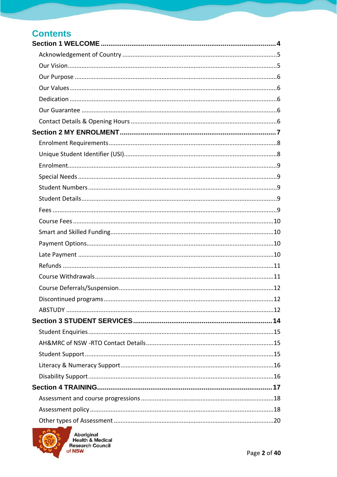| <b>Contents</b> |  |
|-----------------|--|
|                 |  |
|                 |  |
|                 |  |
|                 |  |
|                 |  |
|                 |  |
|                 |  |
|                 |  |
|                 |  |
|                 |  |
|                 |  |
|                 |  |
|                 |  |
|                 |  |
|                 |  |
|                 |  |
|                 |  |
|                 |  |
|                 |  |
|                 |  |
|                 |  |
|                 |  |
|                 |  |
|                 |  |
|                 |  |
|                 |  |
|                 |  |
|                 |  |
|                 |  |
|                 |  |
|                 |  |
|                 |  |
|                 |  |
|                 |  |
|                 |  |



Aboriginal<br>Health & Medical<br>Research Council<br>of NSW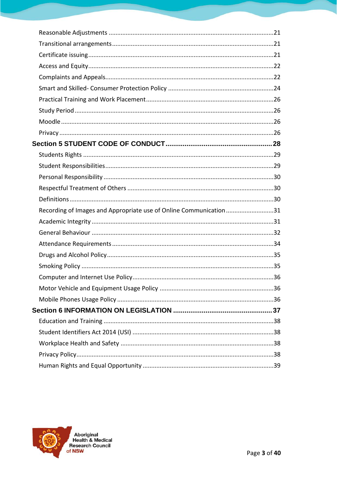| Recording of Images and Appropriate use of Online Communication31 |  |
|-------------------------------------------------------------------|--|
|                                                                   |  |
|                                                                   |  |
|                                                                   |  |
|                                                                   |  |
|                                                                   |  |
|                                                                   |  |
|                                                                   |  |
|                                                                   |  |
|                                                                   |  |
|                                                                   |  |
|                                                                   |  |
|                                                                   |  |
|                                                                   |  |
|                                                                   |  |

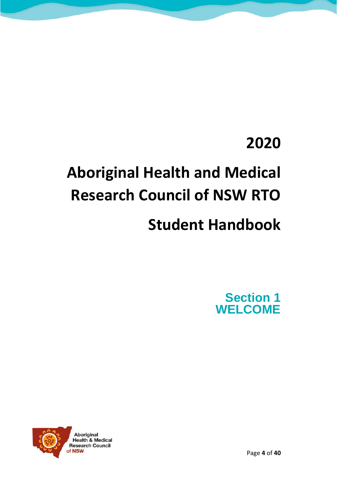### **2020**

## **Aboriginal Health and Medical Research Council of NSW RTO**

### **Student Handbook**

Section 1 **WELCOME** 

<span id="page-3-0"></span>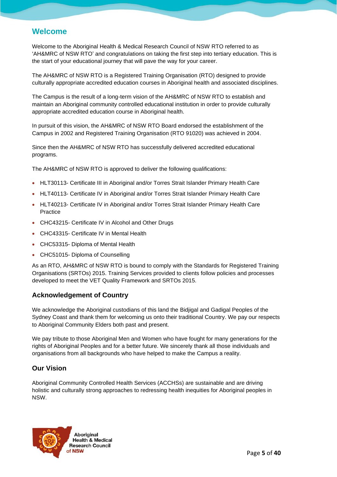#### Welcome

Welcome to the Aboriginal Health & Medical Research Council of NSW RTO referred to as 'AH&MRC of NSW RTO' and congratulations on taking the first step into tertiary education. This is the start of your educational journey that will pave the way for your career.

The AH&MRC of NSW RTO is a Registered Training Organisation (RTO) designed to provide culturally appropriate accredited education courses in Aboriginal health and associated disciplines.

The Campus is the result of a long-term vision of the AH&MRC of NSW RTO to establish and maintain an Aboriginal community controlled educational institution in order to provide culturally appropriate accredited education course in Aboriginal health.

In pursuit of this vision, the AH&MRC of NSW RTO Board endorsed the establishment of the Campus in 2002 and Registered Training Organisation (RTO 91020) was achieved in 2004.

Since then the AH&MRC of NSW RTO has successfully delivered accredited educational programs.

The AH&MRC of NSW RTO is approved to deliver the following qualifications:

- HLT30113- Certificate III in Aboriginal and/or Torres Strait Islander Primary Health Care
- HLT40113- Certificate IV in Aboriginal and/or Torres Strait Islander Primary Health Care
- HLT40213- Certificate IV in Aboriginal and/or Torres Strait Islander Primary Health Care Practice
- CHC43215- Certificate IV in Alcohol and Other Drugs
- CHC43315- Certificate IV in Mental Health
- CHC53315- Diploma of Mental Health
- CHC51015- Diploma of Counselling

As an RTO, AH&MRC of NSW RTO is bound to comply with the Standards for Registered Training Organisations (SRTOs) 2015. Training Services provided to clients follow policies and processes developed to meet the VET Quality Framework and SRTOs 2015.

#### <span id="page-4-0"></span>Acknowledgement of Country

We acknowledge the Aboriginal custodians of this land the Bidjigal and Gadigal Peoples of the Sydney Coast and thank them for welcoming us onto their traditional Country. We pay our respects to Aboriginal Community Elders both past and present.

We pay tribute to those Aboriginal Men and Women who have fought for many generations for the rights of Aboriginal Peoples and for a better future. We sincerely thank all those individuals and organisations from all backgrounds who have helped to make the Campus a reality.

#### <span id="page-4-1"></span>Our Vision

Aboriginal Community Controlled Health Services (ACCHSs) are sustainable and are driving holistic and culturally strong approaches to redressing health inequities for Aboriginal peoples in NSW.

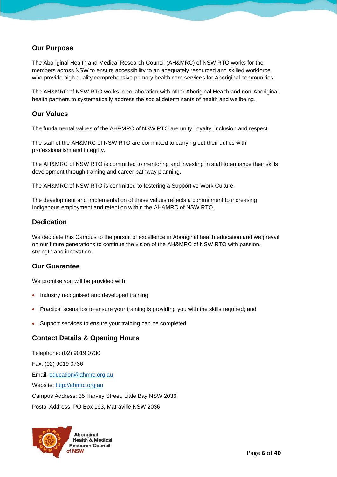#### <span id="page-5-0"></span>Our Purpose

The Aboriginal Health and Medical Research Council (AH&MRC) of NSW RTO works for the members across NSW to ensure accessibility to an adequately resourced and skilled workforce who provide high quality comprehensive primary health care services for Aboriginal communities.

The AH&MRC of NSW RTO works in collaboration with other Aboriginal Health and non-Aboriginal health partners to systematically address the social determinants of health and wellbeing.

#### <span id="page-5-1"></span>Our Values

The fundamental values of the AH&MRC of NSW RTO are unity, loyalty, inclusion and respect.

The staff of the AH&MRC of NSW RTO are committed to carrying out their duties with professionalism and integrity.

The AH&MRC of NSW RTO is committed to mentoring and investing in staff to enhance their skills development through training and career pathway planning.

The AH&MRC of NSW RTO is committed to fostering a Supportive Work Culture.

The development and implementation of these values reflects a commitment to increasing Indigenous employment and retention within the AH&MRC of NSW RTO.

#### <span id="page-5-2"></span>**Dedication**

We dedicate this Campus to the pursuit of excellence in Aboriginal health education and we prevail on our future generations to continue the vision of the AH&MRC of NSW RTO with passion, strength and innovation.

#### <span id="page-5-3"></span>Our Guarantee

We promise you will be provided with:

- Industry recognised and developed training;
- Practical scenarios to ensure your training is providing you with the skills required; and
- Support services to ensure your training can be completed.

#### <span id="page-5-4"></span>Contact Details & Opening Hours

Telephone: (02) 9019 0730 Fax: (02) 9019 0736 Email: [education@ahmrc.org.au](mailto:education@ahmrc.org.au) Website: [http://ahmrc.org.au](http://ahmrc.org.au/) Campus Address: 35 Harvey Street, Little Bay NSW 2036 Postal Address: PO Box 193, Matraville NSW 2036

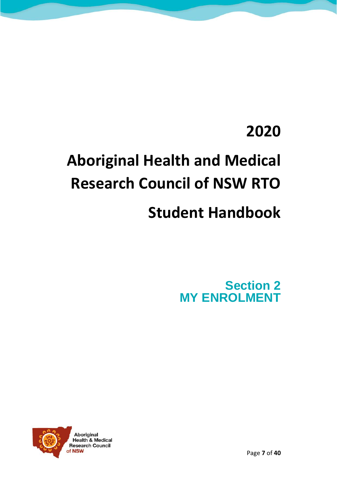### **2020**

# <span id="page-6-0"></span>**Aboriginal Health and Medical Research Council of NSW RTO**

### **Student Handbook**

Section 2 MY ENROLMENT

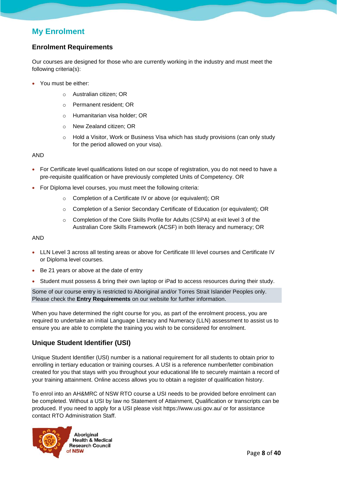#### My Enrolment

#### <span id="page-7-0"></span>Enrolment Requirements

Our courses are designed for those who are currently working in the industry and must meet the following criteria(s):

- You must be either:
	- o Australian citizen; OR
	- o Permanent resident; OR
	- o Humanitarian visa holder; OR
	- o New Zealand citizen; OR
	- $\circ$  Hold a Visitor, Work or Business Visa which has study provisions (can only study for the period allowed on your visa).

#### AND

- For Certificate level qualifications listed on our scope of registration, you do not need to have a pre-requisite qualification or have previously completed Units of Competency. OR
- For Diploma level courses, you must meet the following criteria:
	- Completion of a Certificate IV or above (or equivalent); OR
	- o Completion of a Senior Secondary Certificate of Education (or equivalent); OR
	- o Completion of the Core Skills Profile for Adults (CSPA) at exit level 3 of the Australian Core Skills Framework (ACSF) in both literacy and numeracy; OR

#### AND

- LLN Level 3 across all testing areas or above for Certificate III level courses and Certificate IV or Diploma level courses.
- Be 21 years or above at the date of entry
- Student must possess & bring their own laptop or iPad to access resources during their study.

Some of our course entry is restricted to Aboriginal and/or Torres Strait Islander Peoples only. Please check the Entry Requirements on our website for further information.

When you have determined the right course for you, as part of the enrolment process, you are required to undertake an initial Language Literacy and Numeracy (LLN) assessment to assist us to ensure you are able to complete the training you wish to be considered for enrolment.

#### <span id="page-7-1"></span>Unique Student Identifier (USI)

Unique Student Identifier (USI) number is a national requirement for all students to obtain prior to enrolling in tertiary education or training courses. A USI is a reference number/letter combination created for you that stays with you throughout your educational life to securely maintain a record of your training attainment. Online access allows you to obtain a register of qualification history.

To enrol into an AH&MRC of NSW RTO course a USI needs to be provided before enrolment can be completed. Without a USI by law no Statement of Attainment, Qualification or transcripts can be produced. If you need to apply for a USI please visit<https://www.usi.gov.au/> or for assistance contact RTO Administration Staff.

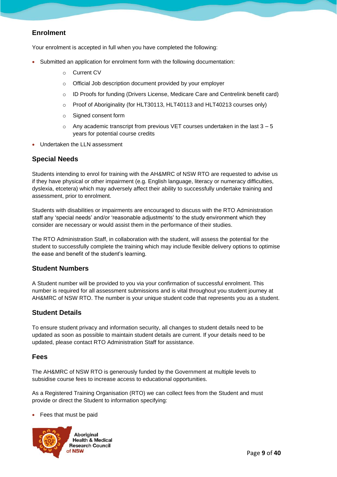#### <span id="page-8-0"></span>Enrolment

Your enrolment is accepted in full when you have completed the following:

- Submitted an application for enrolment form with the following documentation:
	- o Current CV
	- o Official Job description document provided by your employer
	- o ID Proofs for funding (Drivers License, Medicare Care and Centrelink benefit card)
	- $\circ$  Proof of Aboriginality (for HLT30113, HLT40113 and HLT40213 courses only)
	- o Signed consent form
	- $\circ$  Any academic transcript from previous VET courses undertaken in the last  $3 5$ years for potential course credits
- Undertaken the LLN assessment

#### <span id="page-8-1"></span>Special Needs

Students intending to enrol for training with the AH&MRC of NSW RTO are requested to advise us if they have physical or other impairment (e.g. English language, literacy or numeracy difficulties, dyslexia, etcetera) which may adversely affect their ability to successfully undertake training and assessment, prior to enrolment.

Students with disabilities or impairments are encouraged to discuss with the RTO Administration staff any 'special needs' and/or 'reasonable adjustments' to the study environment which they consider are necessary or would assist them in the performance of their studies.

The RTO Administration Staff, in collaboration with the student, will assess the potential for the student to successfully complete the training which may include flexible delivery options to optimise the ease and benefit of the student's learning.

#### <span id="page-8-2"></span>Student Numbers

A Student number will be provided to you via your confirmation of successful enrolment. This number is required for all assessment submissions and is vital throughout you student journey at AH&MRC of NSW RTO. The number is your unique student code that represents you as a student.

#### <span id="page-8-3"></span>Student Details

To ensure student privacy and information security, all changes to student details need to be updated as soon as possible to maintain student details are current. If your details need to be updated, please contact RTO Administration Staff for assistance.

#### <span id="page-8-4"></span>Fees

The AH&MRC of NSW RTO is generously funded by the Government at multiple levels to subsidise course fees to increase access to educational opportunities.

As a Registered Training Organisation (RTO) we can collect fees from the Student and must provide or direct the Student to information specifying:

• Fees that must be paid

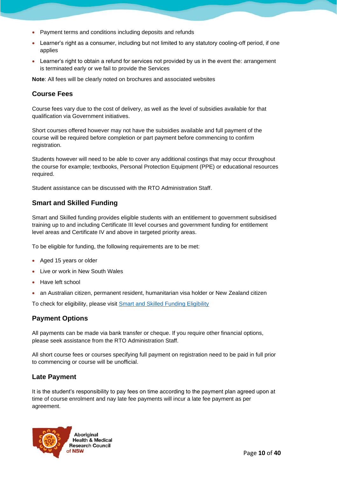- Payment terms and conditions including deposits and refunds
- Learner's right as a consumer, including but not limited to any statutory cooling-off period, if one applies
- Learner's right to obtain a refund for services not provided by us in the event the: arrangement is terminated early or we fail to provide the Services

Note: All fees will be clearly noted on brochures and associated websites

#### <span id="page-9-0"></span>Course Fees

Course fees vary due to the cost of delivery, as well as the level of subsidies available for that qualification via Government initiatives.

Short courses offered however may not have the subsidies available and full payment of the course will be required before completion or part payment before commencing to confirm registration.

Students however will need to be able to cover any additional costings that may occur throughout the course for example; textbooks, Personal Protection Equipment (PPE) or educational resources required.

Student assistance can be discussed with the RTO Administration Staff.

#### <span id="page-9-1"></span>Smart and Skilled Funding

Smart and Skilled funding provides eligible students with an entitlement to government subsidised training up to and including Certificate III level courses and government funding for entitlement level areas and Certificate IV and above in targeted priority areas.

To be eligible for funding, the following requirements are to be met:

- Aged 15 years or older
- Live or work in New South Wales
- Have left school
- an Australian citizen, permanent resident, humanitarian visa holder or New Zealand citizen

To check for eligibility, please visit **Smart and Skilled Funding Eligibility** 

#### <span id="page-9-2"></span>Payment Options

All payments can be made via bank transfer or cheque. If you require other financial options, please seek assistance from the RTO Administration Staff.

All short course fees or courses specifying full payment on registration need to be paid in full prior to commencing or course will be unofficial.

#### <span id="page-9-3"></span>Late Payment

It is the student's responsibility to pay fees on time according to the payment plan agreed upon at time of course enrolment and nay late fee payments will incur a late fee payment as per agreement.

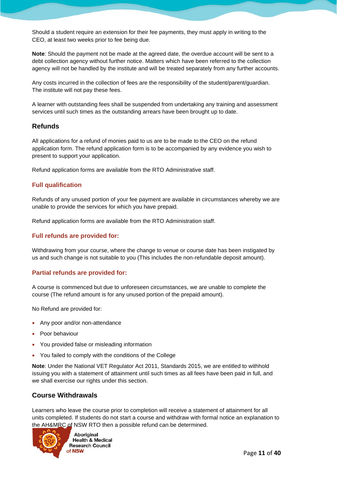Should a student require an extension for their fee payments, they must apply in writing to the CEO, at least two weeks prior to fee being due.

Note: Should the payment not be made at the agreed date, the overdue account will be sent to a debt collection agency without further notice. Matters which have been referred to the collection agency will not be handled by the institute and will be treated separately from any further accounts.

Any costs incurred in the collection of fees are the responsibility of the student/parent/guardian. The institute will not pay these fees.

A learner with outstanding fees shall be suspended from undertaking any training and assessment services until such times as the outstanding arrears have been brought up to date.

#### <span id="page-10-0"></span>Refunds

All applications for a refund of monies paid to us are to be made to the CEO on the refund application form. The refund application form is to be accompanied by any evidence you wish to present to support your application.

Refund application forms are available from the RTO Administrative staff.

#### Full qualification

Refunds of any unused portion of your fee payment are available in circumstances whereby we are unable to provide the services for which you have prepaid.

Refund application forms are available from the RTO Administration staff.

#### Full refunds are provided for:

Withdrawing from your course, where the change to venue or course date has been instigated by us and such change is not suitable to you (This includes the non-refundable deposit amount).

#### Partial refunds are provided for:

A course is commenced but due to unforeseen circumstances, we are unable to complete the course (The refund amount is for any unused portion of the prepaid amount).

No Refund are provided for:

- Any poor and/or non-attendance
- Poor behaviour
- You provided false or misleading information
- You failed to comply with the conditions of the College

Note: Under the National VET Regulator Act 2011, Standards 2015, we are entitled to withhold issuing you with a statement of attainment until such times as all fees have been paid in full, and we shall exercise our rights under this section.

#### <span id="page-10-1"></span>Course Withdrawals

Learners who leave the course prior to completion will receive a statement of attainment for all units completed. If students do not start a course and withdraw with formal notice an explanation to the AH&MRC of NSW RTO then a possible refund can be determined.



**Aboriginal Health & Medical Research Council**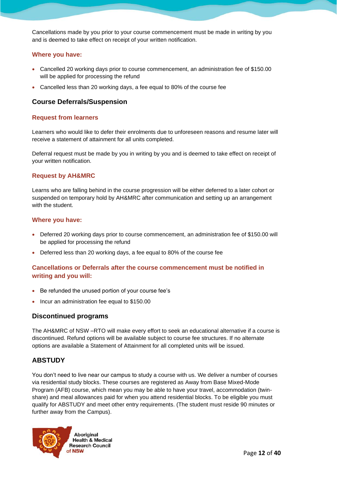Cancellations made by you prior to your course commencement must be made in writing by you and is deemed to take effect on receipt of your written notification.

#### Where you have:

- Cancelled 20 working days prior to course commencement, an administration fee of \$150.00 will be applied for processing the refund
- Cancelled less than 20 working days, a fee equal to 80% of the course fee

#### <span id="page-11-0"></span>Course Deferrals/Suspension

#### Request from learners

Learners who would like to defer their enrolments due to unforeseen reasons and resume later will receive a statement of attainment for all units completed.

Deferral request must be made by you in writing by you and is deemed to take effect on receipt of your written notification.

#### Request by AH&MRC

Learns who are falling behind in the course progression will be either deferred to a later cohort or suspended on temporary hold by AH&MRC after communication and setting up an arrangement with the student.

#### Where you have:

- Deferred 20 working days prior to course commencement, an administration fee of \$150.00 will be applied for processing the refund
- Deferred less than 20 working days, a fee equal to 80% of the course fee

#### Cancellations or Deferrals after the course commencement must be notified in writing and you will:

- Be refunded the unused portion of your course fee's
- Incur an administration fee equal to \$150.00

#### <span id="page-11-1"></span>Discontinued programs

The AH&MRC of NSW –RTO will make every effort to seek an educational alternative if a course is discontinued. Refund options will be available subject to course fee structures. If no alternate options are available a Statement of Attainment for all completed units will be issued.

#### <span id="page-11-2"></span>ABSTUDY

You don't need to live near our campus to study a course with us. We deliver a number of courses via residential study blocks. These courses are registered as Away from Base Mixed-Mode Program (AFB) course, which mean you may be able to have your travel, accommodation (twinshare) and meal allowances paid for when you attend residential blocks. To be eligible you must qualify for ABSTUDY and meet other entry requirements. (The student must reside 90 minutes or further away from the Campus).

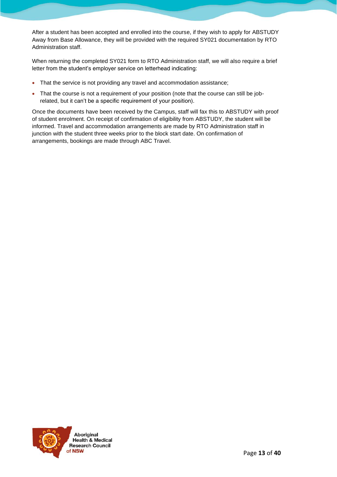After a student has been accepted and enrolled into the course, if they wish to apply for ABSTUDY Away from Base Allowance, they will be provided with the required SY021 documentation by RTO Administration staff.

When returning the completed SY021 form to RTO Administration staff, we will also require a brief letter from the student's employer service on letterhead indicating:

- That the service is not providing any travel and accommodation assistance;
- That the course is not a requirement of your position (note that the course can still be jobrelated, but it can't be a specific requirement of your position).

Once the documents have been received by the Campus, staff will fax this to ABSTUDY with proof of student enrolment. On receipt of confirmation of eligibility from ABSTUDY, the student will be informed. Travel and accommodation arrangements are made by RTO Administration staff in junction with the student three weeks prior to the block start date. On confirmation of arrangements, bookings are made through ABC Travel.

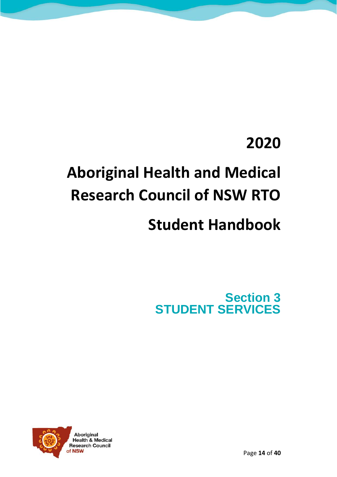### **2020**

# **Aboriginal Health and Medical Research Council of NSW RTO**

### **Student Handbook**

<span id="page-13-0"></span>Section 3 STUDENT SERVICES

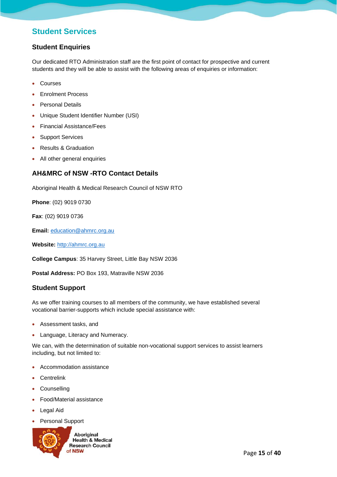#### Student Services

#### <span id="page-14-0"></span>Student Enquiries

Our dedicated RTO Administration staff are the first point of contact for prospective and current students and they will be able to assist with the following areas of enquiries or information:

- Courses
- Enrolment Process
- Personal Details
- Unique Student Identifier Number (USI)
- Financial Assistance/Fees
- Support Services
- Results & Graduation
- All other general enquiries

#### <span id="page-14-1"></span>AH&MRC of NSW -RTO Contact Details

Aboriginal Health & Medical Research Council of NSW RTO

Phone: (02) 9019 0730

Fax: (02) 9019 0736

Email: [education@ahmrc.org.au](mailto:education@ahmrc.org.au)

Website: [http://ahmrc.org.au](http://ahmrc.org.au/)

College Campus: 35 Harvey Street, Little Bay NSW 2036

Postal Address: PO Box 193, Matraville NSW 2036

#### <span id="page-14-2"></span>Student Support

As we offer training courses to all members of the community, we have established several vocational barrier-supports which include special assistance with:

- Assessment tasks, and
- Language, Literacy and Numeracy.

We can, with the determination of suitable non-vocational support services to assist learners including, but not limited to:

- Accommodation assistance
- Centrelink
- Counselling
- Food/Material assistance
- Legal Aid
- Personal Support

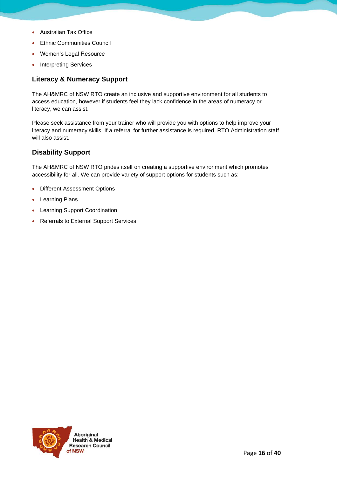- Australian Tax Office
- **Ethnic Communities Council**
- Women's Legal Resource
- Interpreting Services

#### <span id="page-15-0"></span>Literacy & Numeracy Support

The AH&MRC of NSW RTO create an inclusive and supportive environment for all students to access education, however if students feel they lack confidence in the areas of numeracy or literacy, we can assist.

Please seek assistance from your trainer who will provide you with options to help improve your literacy and numeracy skills. If a referral for further assistance is required, RTO Administration staff will also assist.

#### <span id="page-15-1"></span>Disability Support

The AH&MRC of NSW RTO prides itself on creating a supportive environment which promotes accessibility for all. We can provide variety of support options for students such as:

- Different Assessment Options
- Learning Plans
- Learning Support Coordination
- Referrals to External Support Services

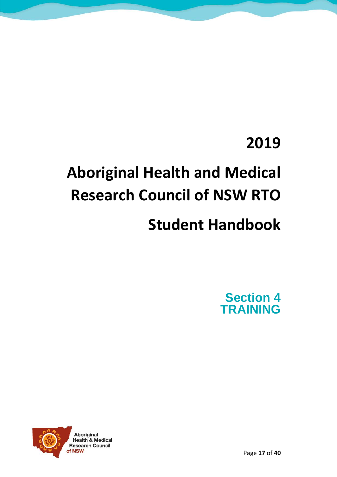### **2019**

## **Aboriginal Health and Medical Research Council of NSW RTO**

### **Student Handbook**

Section 4 **TRAINING** 

<span id="page-16-0"></span>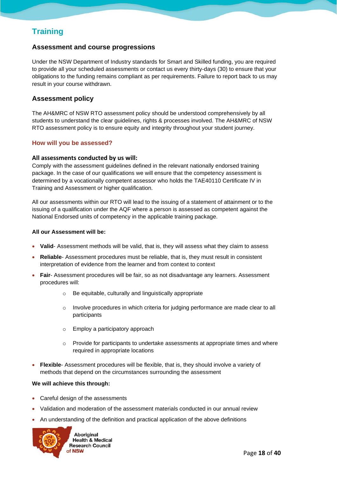#### **Training**

#### <span id="page-17-0"></span>Assessment and course progressions

Under the NSW Department of Industry standards for Smart and Skilled funding, you are required to provide all your scheduled assessments or contact us every thirty-days (30) to ensure that your obligations to the funding remains compliant as per requirements. Failure to report back to us may result in your course withdrawn.

#### <span id="page-17-1"></span>Assessment policy

The AH&MRC of NSW RTO assessment policy should be understood comprehensively by all students to understand the clear guidelines, rights & processes involved. The AH&MRC of NSW RTO assessment policy is to ensure equity and integrity throughout your student journey.

#### How will you be assessed?

#### **All assessments conducted by us will:**

Comply with the assessment guidelines defined in the relevant nationally endorsed training package. In the case of our qualifications we will ensure that the competency assessment is determined by a vocationally competent assessor who holds the TAE40110 Certificate IV in Training and Assessment or higher qualification.

All our assessments within our RTO will lead to the issuing of a statement of attainment or to the issuing of a qualification under the AQF where a person is assessed as competent against the National Endorsed units of competency in the applicable training package.

All our Assessment will be:

- Valid- Assessment methods will be valid, that is, they will assess what they claim to assess
- Reliable- Assessment procedures must be reliable, that is, they must result in consistent interpretation of evidence from the learner and from context to context
- Fair- Assessment procedures will be fair, so as not disadvantage any learners. Assessment procedures will:
	- o Be equitable, culturally and linguistically appropriate
	- o Involve procedures in which criteria for judging performance are made clear to all participants
	- o Employ a participatory approach
	- $\circ$  Provide for participants to undertake assessments at appropriate times and where required in appropriate locations
- Flexible- Assessment procedures will be flexible, that is, they should involve a variety of methods that depend on the circumstances surrounding the assessment

We will achieve this through:

- Careful design of the assessments
- Validation and moderation of the assessment materials conducted in our annual review
- An understanding of the definition and practical application of the above definitions

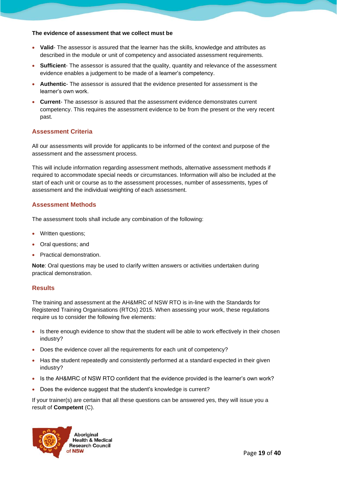The evidence of assessment that we collect must be

- Valid- The assessor is assured that the learner has the skills, knowledge and attributes as described in the module or unit of competency and associated assessment requirements.
- Sufficient- The assessor is assured that the quality, quantity and relevance of the assessment evidence enables a judgement to be made of a learner's competency.
- Authentic- The assessor is assured that the evidence presented for assessment is the learner's own work.
- Current- The assessor is assured that the assessment evidence demonstrates current competency. This requires the assessment evidence to be from the present or the very recent past.

#### Assessment Criteria

All our assessments will provide for applicants to be informed of the context and purpose of the assessment and the assessment process.

This will include information regarding assessment methods, alternative assessment methods if required to accommodate special needs or circumstances. Information will also be included at the start of each unit or course as to the assessment processes, number of assessments, types of assessment and the individual weighting of each assessment.

#### Assessment Methods

The assessment tools shall include any combination of the following:

- Written questions;
- Oral questions; and
- Practical demonstration.

Note: Oral questions may be used to clarify written answers or activities undertaken during practical demonstration.

#### **Results**

The training and assessment at the AH&MRC of NSW RTO is in-line with the Standards for Registered Training Organisations (RTOs) 2015. When assessing your work, these regulations require us to consider the following five elements:

- Is there enough evidence to show that the student will be able to work effectively in their chosen industry?
- Does the evidence cover all the requirements for each unit of competency?
- Has the student repeatedly and consistently performed at a standard expected in their given industry?
- Is the AH&MRC of NSW RTO confident that the evidence provided is the learner's own work?
- Does the evidence suggest that the student's knowledge is current?

If your trainer(s) are certain that all these questions can be answered yes, they will issue you a result of Competent (C).

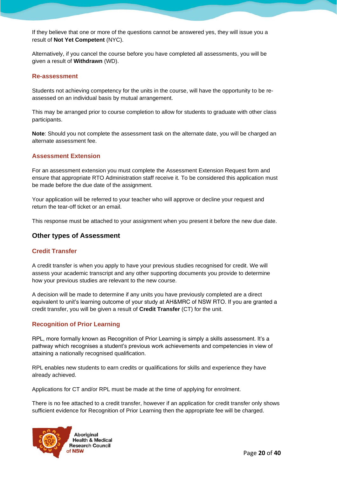If they believe that one or more of the questions cannot be answered yes, they will issue you a result of Not Yet Competent (NYC).

Alternatively, if you cancel the course before you have completed all assessments, you will be given a result of Withdrawn (WD).

#### Re-assessment

Students not achieving competency for the units in the course, will have the opportunity to be reassessed on an individual basis by mutual arrangement.

This may be arranged prior to course completion to allow for students to graduate with other class participants.

Note: Should you not complete the assessment task on the alternate date, you will be charged an alternate assessment fee.

#### Assessment Extension

For an assessment extension you must complete the Assessment Extension Request form and ensure that appropriate RTO Administration staff receive it. To be considered this application must be made before the due date of the assignment.

Your application will be referred to your teacher who will approve or decline your request and return the tear-off ticket or an email.

This response must be attached to your assignment when you present it before the new due date.

#### <span id="page-19-0"></span>Other types of Assessment

#### Credit Transfer

A credit transfer is when you apply to have your previous studies recognised for credit. We will assess your academic transcript and any other supporting documents you provide to determine how your previous studies are relevant to the new course.

A decision will be made to determine if any units you have previously completed are a direct equivalent to unit's learning outcome of your study at AH&MRC of NSW RTO. If you are granted a credit transfer, you will be given a result of Credit Transfer (CT) for the unit.

#### Recognition of Prior Learning

RPL, more formally known as Recognition of Prior Learning is simply a skills assessment. It's a pathway which recognises a student's previous work achievements and competencies in view of attaining a nationally recognised qualification.

RPL enables new students to earn credits or qualifications for skills and experience they have already achieved.

Applications for CT and/or RPL must be made at the time of applying for enrolment.

There is no fee attached to a credit transfer, however if an application for credit transfer only shows sufficient evidence for Recognition of Prior Learning then the appropriate fee will be charged.

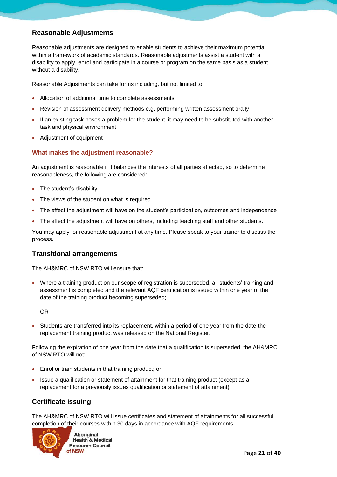#### <span id="page-20-0"></span>Reasonable Adjustments

Reasonable adjustments are designed to enable students to achieve their maximum potential within a framework of academic standards. Reasonable adjustments assist a student with a disability to apply, enrol and participate in a course or program on the same basis as a student without a disability.

Reasonable Adjustments can take forms including, but not limited to:

- Allocation of additional time to complete assessments
- Revision of assessment delivery methods e.g. performing written assessment orally
- If an existing task poses a problem for the student, it may need to be substituted with another task and physical environment
- Adjustment of equipment

#### What makes the adjustment reasonable?

An adjustment is reasonable if it balances the interests of all parties affected, so to determine reasonableness, the following are considered:

- The student's disability
- The views of the student on what is required
- The effect the adjustment will have on the student's participation, outcomes and independence
- The effect the adjustment will have on others, including teaching staff and other students.

You may apply for reasonable adjustment at any time. Please speak to your trainer to discuss the process.

#### <span id="page-20-1"></span>Transitional arrangements

The AH&MRC of NSW RTO will ensure that:

• Where a training product on our scope of registration is superseded, all students' training and assessment is completed and the relevant AQF certification is issued within one year of the date of the training product becoming superseded;

OR

• Students are transferred into its replacement, within a period of one year from the date the replacement training product was released on the National Register.

Following the expiration of one year from the date that a qualification is superseded, the AH&MRC of NSW RTO will not:

- Enrol or train students in that training product; or
- Issue a qualification or statement of attainment for that training product (except as a replacement for a previously issues qualification or statement of attainment).

#### <span id="page-20-2"></span>Certificate issuing

The AH&MRC of NSW RTO will issue certificates and statement of attainments for all successful completion of their courses within 30 days in accordance with AQF requirements.

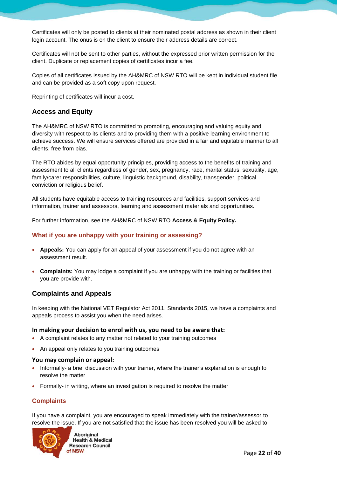Certificates will only be posted to clients at their nominated postal address as shown in their client login account. The onus is on the client to ensure their address details are correct.

Certificates will not be sent to other parties, without the expressed prior written permission for the client. Duplicate or replacement copies of certificates incur a fee.

Copies of all certificates issued by the AH&MRC of NSW RTO will be kept in individual student file and can be provided as a soft copy upon request.

Reprinting of certificates will incur a cost.

#### <span id="page-21-0"></span>Access and Equity

The AH&MRC of NSW RTO is committed to promoting, encouraging and valuing equity and diversity with respect to its clients and to providing them with a positive learning environment to achieve success. We will ensure services offered are provided in a fair and equitable manner to all clients, free from bias.

The RTO abides by equal opportunity principles, providing access to the benefits of training and assessment to all clients regardless of gender, sex, pregnancy, race, marital status, sexuality, age, family/carer responsibilities, culture, linguistic background, disability, transgender, political conviction or religious belief.

All students have equitable access to training resources and facilities, support services and information, trainer and assessors, learning and assessment materials and opportunities.

For further information, see the AH&MRC of NSW RTO Access & Equity Policy.

#### What if you are unhappy with your training or assessing?

- Appeals: You can apply for an appeal of your assessment if you do not agree with an assessment result.
- Complaints: You may lodge a complaint if you are unhappy with the training or facilities that you are provide with.

#### <span id="page-21-1"></span>Complaints and Appeals

In keeping with the National VET Regulator Act 2011, Standards 2015, we have a complaints and appeals process to assist you when the need arises.

#### **In making your decision to enrol with us, you need to be aware that:**

- A complaint relates to any matter not related to your training outcomes
- An appeal only relates to you training outcomes

#### **You may complain or appeal:**

- Informally- a brief discussion with your trainer, where the trainer's explanation is enough to resolve the matter
- Formally- in writing, where an investigation is required to resolve the matter

#### **Complaints**

If you have a complaint, you are encouraged to speak immediately with the trainer/assessor to resolve the issue. If you are not satisfied that the issue has been resolved you will be asked to



**Aboriginal Health & Medical Research Council**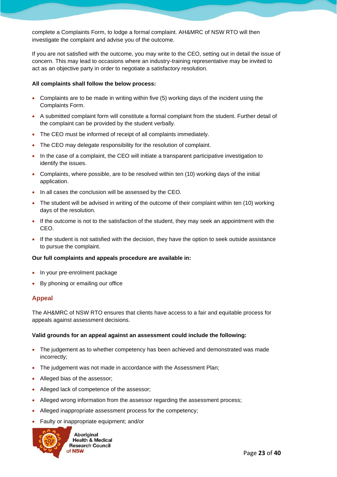complete a Complaints Form, to lodge a formal complaint. AH&MRC of NSW RTO will then investigate the complaint and advise you of the outcome.

If you are not satisfied with the outcome, you may write to the CEO, setting out in detail the issue of concern. This may lead to occasions where an industry-training representative may be invited to act as an objective party in order to negotiate a satisfactory resolution.

All complaints shall follow the below process:

- Complaints are to be made in writing within five (5) working days of the incident using the Complaints Form.
- A submitted complaint form will constitute a formal complaint from the student. Further detail of the complaint can be provided by the student verbally.
- The CEO must be informed of receipt of all complaints immediately.
- The CEO may delegate responsibility for the resolution of complaint.
- In the case of a complaint, the CEO will initiate a transparent participative investigation to identify the issues.
- Complaints, where possible, are to be resolved within ten (10) working days of the initial application.
- In all cases the conclusion will be assessed by the CEO.
- The student will be advised in writing of the outcome of their complaint within ten (10) working days of the resolution.
- If the outcome is not to the satisfaction of the student, they may seek an appointment with the CEO.
- If the student is not satisfied with the decision, they have the option to seek outside assistance to pursue the complaint.

Our full complaints and appeals procedure are available in:

- In your pre-enrolment package
- By phoning or emailing our office

#### Appeal

The AH&MRC of NSW RTO ensures that clients have access to a fair and equitable process for appeals against assessment decisions.

Valid grounds for an appeal against an assessment could include the following:

- The judgement as to whether competency has been achieved and demonstrated was made incorrectly;
- The judgement was not made in accordance with the Assessment Plan;
- Alleged bias of the assessor;
- Alleged lack of competence of the assessor;
- Alleged wrong information from the assessor regarding the assessment process;
- Alleged inappropriate assessment process for the competency;
- Faulty or inappropriate equipment; and/or

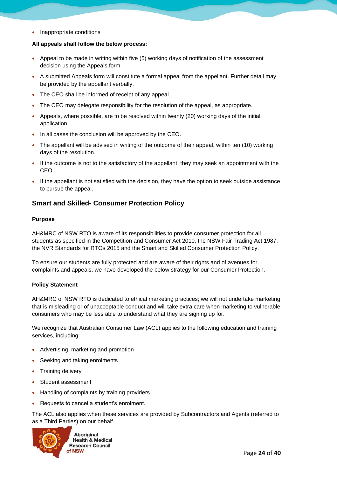• Inappropriate conditions

All appeals shall follow the below process:

- Appeal to be made in writing within five (5) working days of notification of the assessment decision using the Appeals form.
- A submitted Appeals form will constitute a formal appeal from the appellant. Further detail may be provided by the appellant verbally.
- The CEO shall be informed of receipt of any appeal.
- The CEO may delegate responsibility for the resolution of the appeal, as appropriate.
- Appeals, where possible, are to be resolved within twenty (20) working days of the initial application.
- In all cases the conclusion will be approved by the CEO.
- The appellant will be advised in writing of the outcome of their appeal, within ten (10) working days of the resolution.
- If the outcome is not to the satisfactory of the appellant, they may seek an appointment with the CEO.
- If the appellant is not satisfied with the decision, they have the option to seek outside assistance to pursue the appeal.

#### <span id="page-23-0"></span>Smart and Skilled- Consumer Protection Policy

#### Purpose

AH&MRC of NSW RTO is aware of its responsibilities to provide consumer protection for all students as specified in the Competition and Consumer Act 2010, the NSW Fair Trading Act 1987, the NVR Standards for RTOs 2015 and the Smart and Skilled Consumer Protection Policy.

To ensure our students are fully protected and are aware of their rights and of avenues for complaints and appeals, we have developed the below strategy for our Consumer Protection.

#### Policy Statement

AH&MRC of NSW RTO is dedicated to ethical marketing practices; we will not undertake marketing that is misleading or of unacceptable conduct and will take extra care when marketing to vulnerable consumers who may be less able to understand what they are signing up for.

We recognize that Australian Consumer Law (ACL) applies to the following education and training services, including:

- Advertising, marketing and promotion
- Seeking and taking enrolments
- Training delivery
- Student assessment
- Handling of complaints by training providers
- Requests to cancel a student's enrolment.

The ACL also applies when these services are provided by Subcontractors and Agents (referred to as a Third Parties) on our behalf.

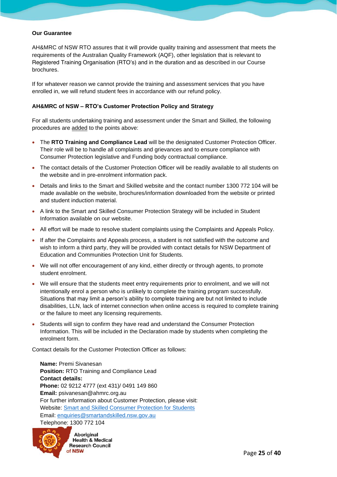#### Our Guarantee

AH&MRC of NSW RTO assures that it will provide quality training and assessment that meets the requirements of the Australian Quality Framework (AQF), other legislation that is relevant to Registered Training Organisation (RTO's) and in the duration and as described in our Course brochures.

If for whatever reason we cannot provide the training and assessment services that you have enrolled in, we will refund student fees in accordance with our refund policy.

#### AH&MRC of NSW – RTO's Customer Protection Policy and Strategy

For all students undertaking training and assessment under the Smart and Skilled, the following procedures are added to the points above:

- The RTO Training and Compliance Lead will be the designated Customer Protection Officer. Their role will be to handle all complaints and grievances and to ensure compliance with Consumer Protection legislative and Funding body contractual compliance.
- The contact details of the Customer Protection Officer will be readily available to all students on the website and in pre-enrolment information pack.
- Details and links to the Smart and Skilled website and the contact number 1300 772 104 will be made available on the website, brochures/information downloaded from the website or printed and student induction material.
- A link to the Smart and Skilled Consumer Protection Strategy will be included in Student Information available on our website.
- All effort will be made to resolve student complaints using the Complaints and Appeals Policy.
- If after the Complaints and Appeals process, a student is not satisfied with the outcome and wish to inform a third party, they will be provided with contact details for NSW Department of Education and Communities Protection Unit for Students.
- We will not offer encouragement of any kind, either directly or through agents, to promote student enrolment.
- We will ensure that the students meet entry requirements prior to enrolment, and we will not intentionally enrol a person who is unlikely to complete the training program successfully. Situations that may limit a person's ability to complete training are but not limited to include disabilities, LLN, lack of internet connection when online access is required to complete training or the failure to meet any licensing requirements.
- Students will sign to confirm they have read and understand the Consumer Protection Information. This will be included in the Declaration made by students when completing the enrolment form.

Contact details for the Customer Protection Officer as follows:

Name: Premi Sivanesan Position: RTO Training and Compliance Lead Contact details: Phone: 02 9212 4777 (ext 431)/ 0491 149 860 Email: psivanesan@ahmrc.org.au For further information about Customer Protection, please visit: Website: [Smart and Skilled Consumer Protection for Students](https://smartandskilled.nsw.gov.au/for-students/consumer-protection-for-students) Email: [enquiries@smartandskilled.nsw.gov.au](mailto:enquiries@smartandskilled.nsw.gov.au) Telephone: 1300 772 104

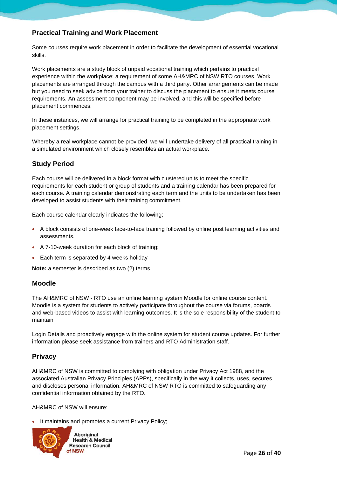#### <span id="page-25-0"></span>Practical Training and Work Placement

Some courses require work placement in order to facilitate the development of essential vocational skills.

Work placements are a study block of unpaid vocational training which pertains to practical experience within the workplace; a requirement of some AH&MRC of NSW RTO courses. Work placements are arranged through the campus with a third party. Other arrangements can be made but you need to seek advice from your trainer to discuss the placement to ensure it meets course requirements. An assessment component may be involved, and this will be specified before placement commences.

In these instances, we will arrange for practical training to be completed in the appropriate work placement settings.

Whereby a real workplace cannot be provided, we will undertake delivery of all practical training in a simulated environment which closely resembles an actual workplace.

#### <span id="page-25-1"></span>Study Period

Each course will be delivered in a block format with clustered units to meet the specific requirements for each student or group of students and a training calendar has been prepared for each course. A training calendar demonstrating each term and the units to be undertaken has been developed to assist students with their training commitment.

Each course calendar clearly indicates the following;

- A block consists of one-week face-to-face training followed by online post learning activities and assessments.
- A 7-10-week duration for each block of training;
- Each term is separated by 4 weeks holiday

Note: a semester is described as two (2) terms.

#### <span id="page-25-2"></span>Moodle

The AH&MRC of NSW - RTO use an online learning system Moodle for online course content. Moodle is a system for students to actively participate throughout the course via forums, boards and web-based videos to assist with learning outcomes. It is the sole responsibility of the student to maintain

Login Details and proactively engage with the online system for student course updates. For further information please seek assistance from trainers and RTO Administration staff.

#### <span id="page-25-3"></span>**Privacy**

AH&MRC of NSW is committed to complying with obligation under Privacy Act 1988, and the associated Australian Privacy Principles (APPs), specifically in the way it collects, uses, secures and discloses personal information. AH&MRC of NSW RTO is committed to safeguarding any confidential information obtained by the RTO.

AH&MRC of NSW will ensure:

It maintains and promotes a current Privacy Policy;

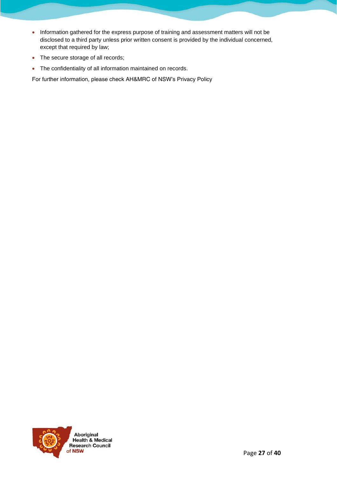- Information gathered for the express purpose of training and assessment matters will not be disclosed to a third party unless prior written consent is provided by the individual concerned, except that required by law;
- The secure storage of all records;
- The confidentiality of all information maintained on records.

For further information, please check AH&MRC of NSW's Privacy Policy

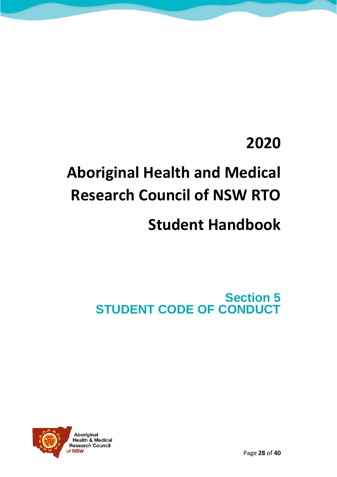### **2020**

# **Aboriginal Health and Medical Research Council of NSW RTO**

### **Student Handbook**

<span id="page-27-0"></span>Section 5 STUDENT CODE OF CONDUCT

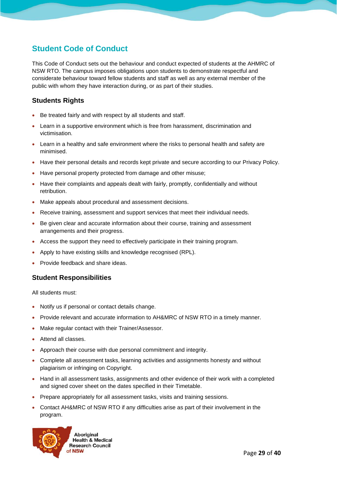#### Student Code of Conduct

This Code of Conduct sets out the behaviour and conduct expected of students at the AHMRC of NSW RTO. The campus imposes obligations upon students to demonstrate respectful and considerate behaviour toward fellow students and staff as well as any external member of the public with whom they have interaction during, or as part of their studies.

#### <span id="page-28-0"></span>Students Rights

- Be treated fairly and with respect by all students and staff.
- Learn in a supportive environment which is free from harassment, discrimination and victimisation.
- Learn in a healthy and safe environment where the risks to personal health and safety are minimised.
- Have their personal details and records kept private and secure according to our Privacy Policy.
- Have personal property protected from damage and other misuse;
- Have their complaints and appeals dealt with fairly, promptly, confidentially and without retribution.
- Make appeals about procedural and assessment decisions.
- Receive training, assessment and support services that meet their individual needs.
- Be given clear and accurate information about their course, training and assessment arrangements and their progress.
- Access the support they need to effectively participate in their training program.
- Apply to have existing skills and knowledge recognised (RPL).
- Provide feedback and share ideas.

#### <span id="page-28-1"></span>Student Responsibilities

All students must:

- Notify us if personal or contact details change.
- Provide relevant and accurate information to AH&MRC of NSW RTO in a timely manner.
- Make regular contact with their Trainer/Assessor.
- Attend all classes.
- Approach their course with due personal commitment and integrity.
- Complete all assessment tasks, learning activities and assignments honesty and without plagiarism or infringing on Copyright.
- Hand in all assessment tasks, assignments and other evidence of their work with a completed and signed cover sheet on the dates specified in their Timetable.
- Prepare appropriately for all assessment tasks, visits and training sessions.
- Contact AH&MRC of NSW RTO if any difficulties arise as part of their involvement in the program.

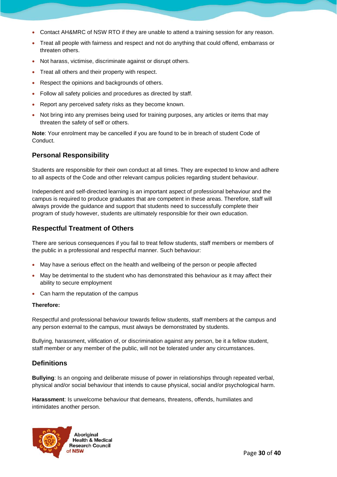- Contact AH&MRC of NSW RTO if they are unable to attend a training session for any reason.
- Treat all people with fairness and respect and not do anything that could offend, embarrass or threaten others.
- Not harass, victimise, discriminate against or disrupt others.
- Treat all others and their property with respect.
- Respect the opinions and backgrounds of others.
- Follow all safety policies and procedures as directed by staff.
- Report any perceived safety risks as they become known.
- Not bring into any premises being used for training purposes, any articles or items that may threaten the safety of self or others.

Note: Your enrolment may be cancelled if you are found to be in breach of student Code of Conduct.

#### <span id="page-29-0"></span>Personal Responsibility

Students are responsible for their own conduct at all times. They are expected to know and adhere to all aspects of the Code and other relevant campus policies regarding student behaviour.

Independent and self-directed learning is an important aspect of professional behaviour and the campus is required to produce graduates that are competent in these areas. Therefore, staff will always provide the guidance and support that students need to successfully complete their program of study however, students are ultimately responsible for their own education.

#### <span id="page-29-1"></span>Respectful Treatment of Others

There are serious consequences if you fail to treat fellow students, staff members or members of the public in a professional and respectful manner. Such behaviour:

- May have a serious effect on the health and wellbeing of the person or people affected
- May be detrimental to the student who has demonstrated this behaviour as it may affect their ability to secure employment
- Can harm the reputation of the campus

Therefore:

Respectful and professional behaviour towards fellow students, staff members at the campus and any person external to the campus, must always be demonstrated by students.

Bullying, harassment, vilification of, or discrimination against any person, be it a fellow student, staff member or any member of the public, will not be tolerated under any circumstances.

#### <span id="page-29-2"></span>**Definitions**

Bullying: Is an ongoing and deliberate misuse of power in relationships through repeated verbal, physical and/or social behaviour that intends to cause physical, social and/or psychological harm.

Harassment: Is unwelcome behaviour that demeans, threatens, offends, humiliates and intimidates another person.

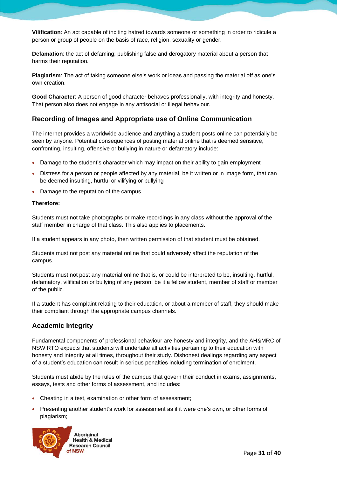Vilification: An act capable of inciting hatred towards someone or something in order to ridicule a person or group of people on the basis of race, religion, sexuality or gender.

Defamation: the act of defaming; publishing false and derogatory material about a person that harms their reputation.

Plagiarism: The act of taking someone else's work or ideas and passing the material off as one's own creation.

Good Character: A person of good character behaves professionally, with integrity and honesty. That person also does not engage in any antisocial or illegal behaviour.

#### <span id="page-30-0"></span>Recording of Images and Appropriate use of Online Communication

The internet provides a worldwide audience and anything a student posts online can potentially be seen by anyone. Potential consequences of posting material online that is deemed sensitive, confronting, insulting, offensive or bullying in nature or defamatory include:

- Damage to the student's character which may impact on their ability to gain employment
- Distress for a person or people affected by any material, be it written or in image form, that can be deemed insulting, hurtful or vilifying or bullying
- Damage to the reputation of the campus

#### Therefore:

Students must not take photographs or make recordings in any class without the approval of the staff member in charge of that class. This also applies to placements.

If a student appears in any photo, then written permission of that student must be obtained.

Students must not post any material online that could adversely affect the reputation of the campus.

Students must not post any material online that is, or could be interpreted to be, insulting, hurtful, defamatory, vilification or bullying of any person, be it a fellow student, member of staff or member of the public.

If a student has complaint relating to their education, or about a member of staff, they should make their compliant through the appropriate campus channels.

#### <span id="page-30-1"></span>Academic Integrity

Fundamental components of professional behaviour are honesty and integrity, and the AH&MRC of NSW RTO expects that students will undertake all activities pertaining to their education with honesty and integrity at all times, throughout their study. Dishonest dealings regarding any aspect of a student's education can result in serious penalties including termination of enrolment.

Students must abide by the rules of the campus that govern their conduct in exams, assignments, essays, tests and other forms of assessment, and includes:

- Cheating in a test, examination or other form of assessment;
- Presenting another student's work for assessment as if it were one's own, or other forms of plagiarism;

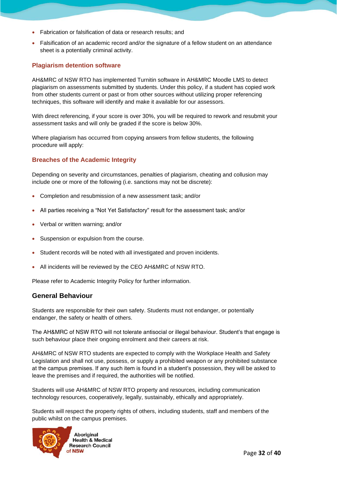- Fabrication or falsification of data or research results; and
- Falsification of an academic record and/or the signature of a fellow student on an attendance sheet is a potentially criminal activity.

#### Plagiarism detention software

AH&MRC of NSW RTO has implemented Turnitin software in AH&MRC Moodle LMS to detect plagiarism on assessments submitted by students. Under this policy, if a student has copied work from other students current or past or from other sources without utilizing proper referencing techniques, this software will identify and make it available for our assessors.

With direct referencing, if your score is over 30%, you will be required to rework and resubmit your assessment tasks and will only be graded if the score is below 30%.

Where plagiarism has occurred from copying answers from fellow students, the following procedure will apply:

#### Breaches of the Academic Integrity

Depending on severity and circumstances, penalties of plagiarism, cheating and collusion may include one or more of the following (i.e. sanctions may not be discrete):

- Completion and resubmission of a new assessment task; and/or
- All parties receiving a "Not Yet Satisfactory" result for the assessment task; and/or
- Verbal or written warning; and/or
- Suspension or expulsion from the course.
- Student records will be noted with all investigated and proven incidents.
- All incidents will be reviewed by the CEO AH&MRC of NSW RTO.

Please refer to Academic Integrity Policy for further information.

#### <span id="page-31-0"></span>General Behaviour

Students are responsible for their own safety. Students must not endanger, or potentially endanger, the safety or health of others.

The AH&MRC of NSW RTO will not tolerate antisocial or illegal behaviour. Student's that engage is such behaviour place their ongoing enrolment and their careers at risk.

AH&MRC of NSW RTO students are expected to comply with the Workplace Health and Safety Legislation and shall not use, possess, or supply a prohibited weapon or any prohibited substance at the campus premises. If any such item is found in a student's possession, they will be asked to leave the premises and if required, the authorities will be notified.

Students will use AH&MRC of NSW RTO property and resources, including communication technology resources, cooperatively, legally, sustainably, ethically and appropriately.

Students will respect the property rights of others, including students, staff and members of the public whilst on the campus premises.

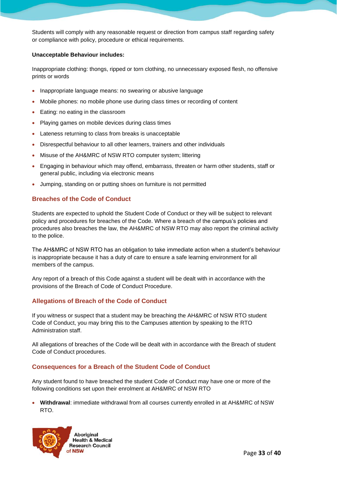Students will comply with any reasonable request or direction from campus staff regarding safety or compliance with policy, procedure or ethical requirements.

Unacceptable Behaviour includes:

Inappropriate clothing: thongs, ripped or torn clothing, no unnecessary exposed flesh, no offensive prints or words

- Inappropriate language means: no swearing or abusive language
- Mobile phones: no mobile phone use during class times or recording of content
- Eating: no eating in the classroom
- Playing games on mobile devices during class times
- Lateness returning to class from breaks is unacceptable
- Disrespectful behaviour to all other learners, trainers and other individuals
- Misuse of the AH&MRC of NSW RTO computer system; littering
- Engaging in behaviour which may offend, embarrass, threaten or harm other students, staff or general public, including via electronic means
- Jumping, standing on or putting shoes on furniture is not permitted

#### Breaches of the Code of Conduct

Students are expected to uphold the Student Code of Conduct or they will be subject to relevant policy and procedures for breaches of the Code. Where a breach of the campus's policies and procedures also breaches the law, the AH&MRC of NSW RTO may also report the criminal activity to the police.

The AH&MRC of NSW RTO has an obligation to take immediate action when a student's behaviour is inappropriate because it has a duty of care to ensure a safe learning environment for all members of the campus.

Any report of a breach of this Code against a student will be dealt with in accordance with the provisions of the Breach of Code of Conduct Procedure.

#### Allegations of Breach of the Code of Conduct

If you witness or suspect that a student may be breaching the AH&MRC of NSW RTO student Code of Conduct, you may bring this to the Campuses attention by speaking to the RTO Administration staff.

All allegations of breaches of the Code will be dealt with in accordance with the Breach of student Code of Conduct procedures.

#### Consequences for a Breach of the Student Code of Conduct

Any student found to have breached the student Code of Conduct may have one or more of the following conditions set upon their enrolment at AH&MRC of NSW RTO

• Withdrawal: immediate withdrawal from all courses currently enrolled in at AH&MRC of NSW RTO.

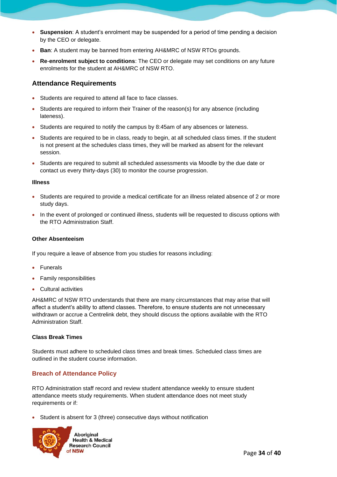- Suspension: A student's enrolment may be suspended for a period of time pending a decision by the CEO or delegate.
- Ban: A student may be banned from entering AH&MRC of NSW RTOs grounds.
- Re-enrolment subject to conditions: The CEO or delegate may set conditions on any future enrolments for the student at AH&MRC of NSW RTO.

#### <span id="page-33-0"></span>Attendance Requirements

- Students are required to attend all face to face classes.
- Students are required to inform their Trainer of the reason(s) for any absence (including lateness).
- Students are required to notify the campus by 8:45am of any absences or lateness.
- Students are required to be in class, ready to begin, at all scheduled class times. If the student is not present at the schedules class times, they will be marked as absent for the relevant session.
- Students are required to submit all scheduled assessments via Moodle by the due date or contact us every thirty-days (30) to monitor the course progression.

#### Illness

- Students are required to provide a medical certificate for an illness related absence of 2 or more study days.
- In the event of prolonged or continued illness, students will be requested to discuss options with the RTO Administration Staff.

#### Other Absenteeism

If you require a leave of absence from you studies for reasons including:

- Funerals
- Family responsibilities
- Cultural activities

AH&MRC of NSW RTO understands that there are many circumstances that may arise that will affect a student's ability to attend classes. Therefore, to ensure students are not unnecessary withdrawn or accrue a Centrelink debt, they should discuss the options available with the RTO Administration Staff.

Class Break Times

Students must adhere to scheduled class times and break times. Scheduled class times are outlined in the student course information.

#### Breach of Attendance Policy

RTO Administration staff record and review student attendance weekly to ensure student attendance meets study requirements. When student attendance does not meet study requirements or if:

• Student is absent for 3 (three) consecutive days without notification

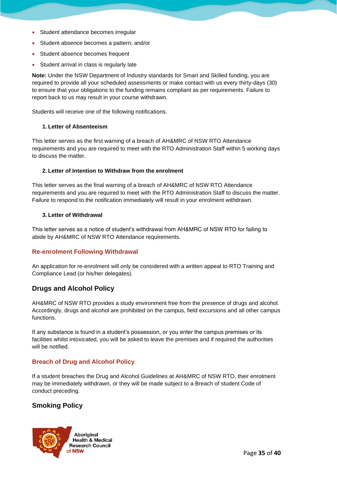- Student attendance becomes irregular
- Student absence becomes a pattern; and/or
- Student absence becomes frequent
- Student arrival in class is regularly late

Note: Under the NSW Department of Industry standards for Smart and Skilled funding, you are required to provide all your scheduled assessments or make contact with us every thirty-days (30) to ensure that your obligations to the funding remains compliant as per requirements. Failure to report back to us may result in your course withdrawn.

Students will receive one of the following notifications.

1. Letter of Absenteeism

This letter serves as the first warning of a breach of AH&MRC of NSW RTO Attendance requirements and you are required to meet with the RTO Administration Staff within 5 working days to discuss the matter.

#### 2. Letter of Intention to Withdraw from the enrolment

This letter serves as the final warning of a breach of AH&MRC of NSW RTO Attendance requirements and you are required to meet with the RTO Administration Staff to discuss the matter. Failure to respond to the notification immediately will result in your enrolment withdrawn.

#### 3. Letter of Withdrawal

This letter serves as a notice of student's withdrawal from AH&MRC of NSW RTO for failing to abide by AH&MRC of NSW RTO Attendance requirements.

#### Re-enrolment Following Withdrawal

An application for re-enrolment will only be considered with a written appeal to RTO Training and Compliance Lead (or his/her delegates).

#### <span id="page-34-0"></span>Drugs and Alcohol Policy

AH&MRC of NSW RTO provides a study environment free from the presence of drugs and alcohol. Accordingly, drugs and alcohol are prohibited on the campus, field excursions and all other campus functions.

If any substance is found in a student's possession, or you enter the campus premises or its facilities whilst intoxicated, you will be asked to leave the premises and if required the authorities will be notified.

#### Breach of Drug and Alcohol Policy

If a student breaches the Drug and Alcohol Guidelines at AH&MRC of NSW RTO, their enrolment may be immediately withdrawn, or they will be made subject to a Breach of student Code of conduct preceding.

#### <span id="page-34-1"></span>Smoking Policy

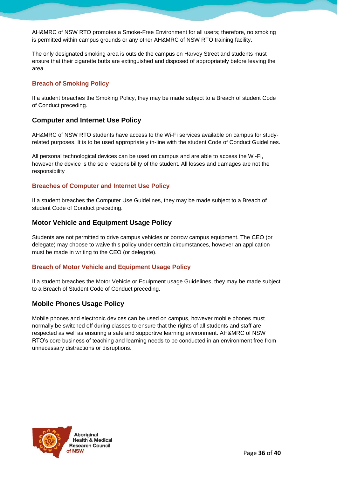AH&MRC of NSW RTO promotes a Smoke-Free Environment for all users; therefore, no smoking is permitted within campus grounds or any other AH&MRC of NSW RTO training facility.

The only designated smoking area is outside the campus on Harvey Street and students must ensure that their cigarette butts are extinguished and disposed of appropriately before leaving the area.

#### Breach of Smoking Policy

If a student breaches the Smoking Policy, they may be made subject to a Breach of student Code of Conduct preceding.

#### <span id="page-35-0"></span>Computer and Internet Use Policy

AH&MRC of NSW RTO students have access to the Wi-Fi services available on campus for studyrelated purposes. It is to be used appropriately in-line with the student Code of Conduct Guidelines.

All personal technological devices can be used on campus and are able to access the Wi-Fi, however the device is the sole responsibility of the student. All losses and damages are not the responsibility

#### Breaches of Computer and Internet Use Policy

If a student breaches the Computer Use Guidelines, they may be made subject to a Breach of student Code of Conduct preceding.

#### <span id="page-35-1"></span>Motor Vehicle and Equipment Usage Policy

Students are not permitted to drive campus vehicles or borrow campus equipment. The CEO (or delegate) may choose to waive this policy under certain circumstances, however an application must be made in writing to the CEO (or delegate).

#### Breach of Motor Vehicle and Equipment Usage Policy

If a student breaches the Motor Vehicle or Equipment usage Guidelines, they may be made subject to a Breach of Student Code of Conduct preceding.

#### <span id="page-35-2"></span>Mobile Phones Usage Policy

Mobile phones and electronic devices can be used on campus, however mobile phones must normally be switched off during classes to ensure that the rights of all students and staff are respected as well as ensuring a safe and supportive learning environment. AH&MRC of NSW RTO's core business of teaching and learning needs to be conducted in an environment free from unnecessary distractions or disruptions.

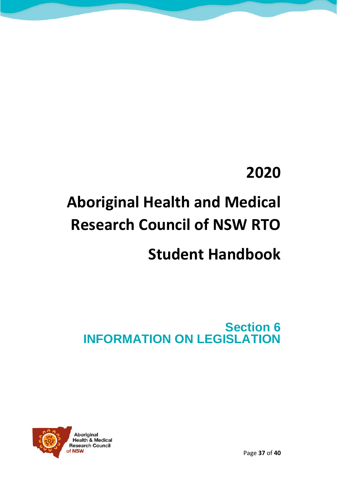### **2020**

# **Aboriginal Health and Medical Research Council of NSW RTO**

### **Student Handbook**

<span id="page-36-0"></span>Section 6 INFORMATION ON LEGISLATION

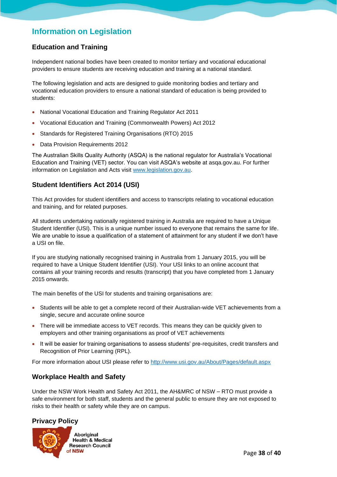#### Information on Legislation

#### <span id="page-37-0"></span>Education and Training

Independent national bodies have been created to monitor tertiary and vocational educational providers to ensure students are receiving education and training at a national standard.

The following legislation and acts are designed to guide monitoring bodies and tertiary and vocational education providers to ensure a national standard of education is being provided to students:

- National Vocational Education and Training Regulator Act 2011
- Vocational Education and Training (Commonwealth Powers) Act 2012
- Standards for Registered Training Organisations (RTO) 2015
- Data Provision Requirements 2012

The Australian Skills Quality Authority (ASQA) is the national regulator for Australia's Vocational Education and Training (VET) sector. You can visit ASQA's website at asqa.gov.au. For further information on Legislation and Acts visit [www.legislation.gov.au.](http://www.legislation.gov.au/)

#### <span id="page-37-1"></span>Student Identifiers Act 2014 (USI)

This Act provides for student identifiers and access to transcripts relating to vocational education and training, and for related purposes.

All students undertaking nationally registered training in Australia are required to have a Unique Student Identifier (USI). This is a unique number issued to everyone that remains the same for life. We are unable to issue a qualification of a statement of attainment for any student if we don't have a USI on file.

If you are studying nationally recognised training in Australia from 1 January 2015, you will be required to have a Unique Student Identifier (USI). Your USI links to an online account that contains all your training records and results (transcript) that you have completed from 1 January 2015 onwards.

The main benefits of the USI for students and training organisations are:

- Students will be able to get a complete record of their Australian-wide VET achievements from a single, secure and accurate online source
- There will be immediate access to VET records. This means they can be quickly given to employers and other training organisations as proof of VET achievements
- It will be easier for training organisations to assess students' pre-requisites, credit transfers and Recognition of Prior Learning (RPL).

For more information about USI please refer to<http://www.usi.gov.au/About/Pages/default.aspx>

#### <span id="page-37-2"></span>Workplace Health and Safety

Under the NSW Work Health and Safety Act 2011, the AH&MRC of NSW – RTO must provide a safe environment for both staff, students and the general public to ensure they are not exposed to risks to their health or safety while they are on campus.

#### <span id="page-37-3"></span>Privacy Policy

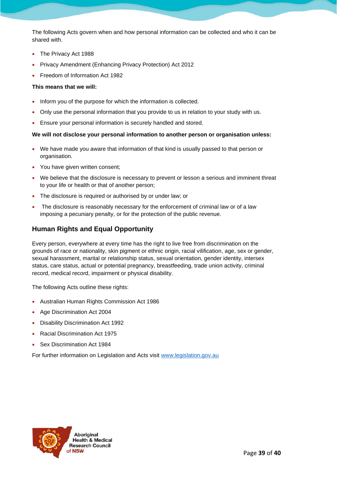The following Acts govern when and how personal information can be collected and who it can be shared with.

- The Privacy Act 1988
- Privacy Amendment (Enhancing Privacy Protection) Act 2012
- Freedom of Information Act 1982

This means that we will:

- Inform you of the purpose for which the information is collected.
- Only use the personal information that you provide to us in relation to your study with us.
- Ensure your personal information is securely handled and stored.

We will not disclose your personal information to another person or organisation unless:

- We have made you aware that information of that kind is usually passed to that person or organisation.
- You have given written consent;
- We believe that the disclosure is necessary to prevent or lesson a serious and imminent threat to your life or health or that of another person;
- The disclosure is required or authorised by or under law; or
- The disclosure is reasonably necessary for the enforcement of criminal law or of a law imposing a pecuniary penalty, or for the protection of the public revenue.

#### <span id="page-38-0"></span>Human Rights and Equal Opportunity

Every person, everywhere at every time has the right to live free from discrimination on the grounds of race or nationality, skin pigment or ethnic origin, racial vilification, age, sex or gender, sexual harassment, marital or relationship status, sexual orientation, gender identity, intersex status, care status, actual or potential pregnancy, breastfeeding, trade union activity, criminal record, medical record, impairment or physical disability.

The following Acts outline these rights:

- Australian Human Rights Commission Act 1986
- Age Discrimination Act 2004
- Disability Discrimination Act 1992
- Racial Discrimination Act 1975
- Sex Discrimination Act 1984

For further information on Legislation and Acts visit [www.legislation.gov.au](http://www.legislation.gov.au/)